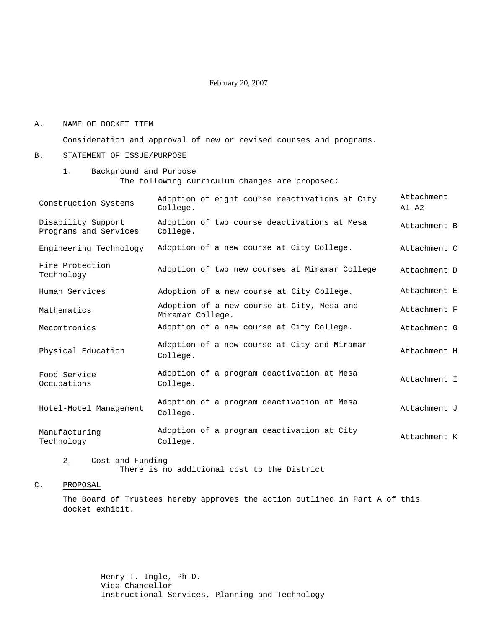#### February 20, 2007

#### A. NAME OF DOCKET ITEM

Consideration and approval of new or revised courses and programs.

#### B. STATEMENT OF ISSUE/PURPOSE

1. Background and Purpose The following curriculum changes are proposed:

| Construction Systems                        | Adoption of eight course reactivations at City<br>College.     | Attachment<br>$A1 - A2$ |
|---------------------------------------------|----------------------------------------------------------------|-------------------------|
| Disability Support<br>Programs and Services | Adoption of two course deactivations at Mesa<br>College.       | Attachment B            |
| Engineering Technology                      | Adoption of a new course at City College.                      | Attachment C            |
| Fire Protection<br>Technology               | Adoption of two new courses at Miramar College                 | Attachment D            |
| Human Services                              | Adoption of a new course at City College.                      | Attachment E            |
| Mathematics                                 | Adoption of a new course at City, Mesa and<br>Miramar College. | Attachment F            |
| Mecomtronics                                | Adoption of a new course at City College.                      | Attachment G            |
| Physical Education                          | Adoption of a new course at City and Miramar<br>College.       | Attachment H            |
| Food Service<br>Occupations                 | Adoption of a program deactivation at Mesa<br>College.         | Attachment I            |
| Hotel-Motel Management                      | Adoption of a program deactivation at Mesa<br>College.         | Attachment J            |
| Manufacturing<br>Technology                 | Adoption of a program deactivation at City<br>College.         | Attachment K            |
|                                             |                                                                |                         |

2. Cost and Funding There is no additional cost to the District

#### C. PROPOSAL

The Board of Trustees hereby approves the action outlined in Part A of this docket exhibit.

> Henry T. Ingle, Ph.D. Vice Chancellor Instructional Services, Planning and Technology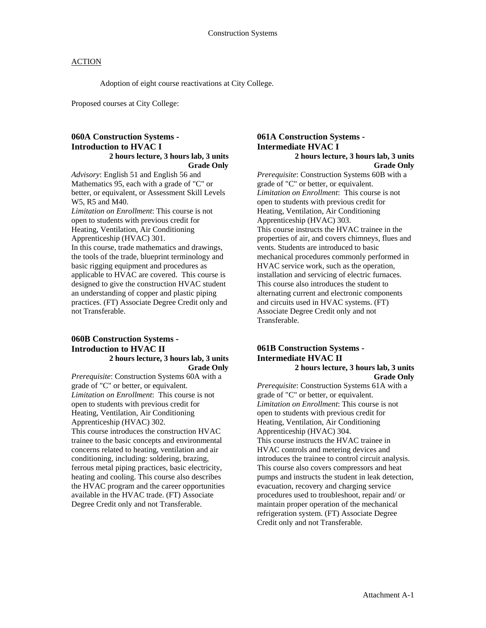Adoption of eight course reactivations at City College.

Proposed courses at City College:

#### **060A Construction Systems - Introduction to HVAC I 2 hours lecture, 3 hours lab, 3 units Grade Only**

*Advisory*: English 51 and English 56 and Mathematics 95, each with a grade of "C" or better, or equivalent, or Assessment Skill Levels W5, R5 and M40.

*Limitation on Enrollment*: This course is not open to students with previous credit for Heating, Ventilation, Air Conditioning Apprenticeship (HVAC) 301.

In this course, trade mathematics and drawings, the tools of the trade, blueprint terminology and basic rigging equipment and procedures as applicable to HVAC are covered. This course is designed to give the construction HVAC student an understanding of copper and plastic piping practices. (FT) Associate Degree Credit only and not Transferable.

#### **060B Construction Systems - Introduction to HVAC II 2 hours lecture, 3 hours lab, 3 units Grade Only**

*Prerequisite*: Construction Systems 60A with a grade of "C" or better, or equivalent. *Limitation on Enrollment*: This course is not open to students with previous credit for Heating, Ventilation, Air Conditioning Apprenticeship (HVAC) 302.

This course introduces the construction HVAC trainee to the basic concepts and environmental concerns related to heating, ventilation and air conditioning, including: soldering, brazing, ferrous metal piping practices, basic electricity, heating and cooling. This course also describes the HVAC program and the career opportunities available in the HVAC trade. (FT) Associate Degree Credit only and not Transferable.

#### **061A Construction Systems - Intermediate HVAC I 2 hours lecture, 3 hours lab, 3 units Grade Only**

*Prerequisite*: Construction Systems 60B with a grade of "C" or better, or equivalent. *Limitation on Enrollment*: This course is not open to students with previous credit for Heating, Ventilation, Air Conditioning Apprenticeship (HVAC) 303. This course instructs the HVAC trainee in the properties of air, and covers chimneys, flues and vents. Students are introduced to basic mechanical procedures commonly performed in HVAC service work, such as the operation, installation and servicing of electric furnaces. This course also introduces the student to alternating current and electronic components and circuits used in HVAC systems. (FT) Associate Degree Credit only and not Transferable.

## **061B Construction Systems - Intermediate HVAC II 2 hours lecture, 3 hours lab, 3 units**

**Grade Only**  *Prerequisite*: Construction Systems 61A with a grade of "C" or better, or equivalent. *Limitation on Enrollment*: This course is not open to students with previous credit for Heating, Ventilation, Air Conditioning Apprenticeship (HVAC) 304. This course instructs the HVAC trainee in HVAC controls and metering devices and introduces the trainee to control circuit analysis. This course also covers compressors and heat pumps and instructs the student in leak detection, evacuation, recovery and charging service procedures used to troubleshoot, repair and/ or maintain proper operation of the mechanical refrigeration system. (FT) Associate Degree Credit only and not Transferable.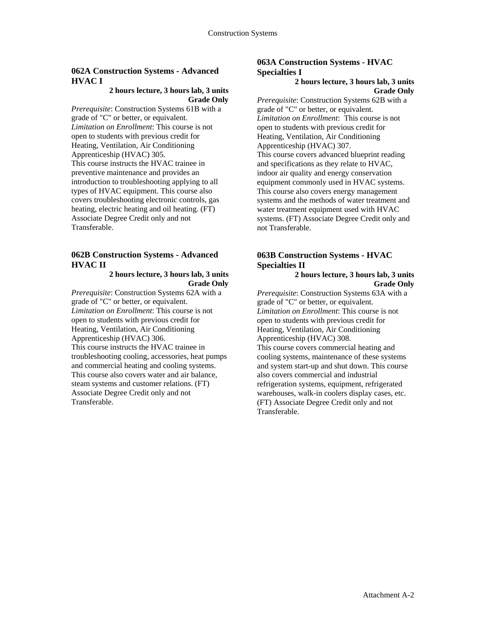### **062A Construction Systems - Advanced HVAC I**

#### **2 hours lecture, 3 hours lab, 3 units Grade Only**

*Prerequisite*: Construction Systems 61B with a grade of "C" or better, or equivalent. *Limitation on Enrollment*: This course is not open to students with previous credit for Heating, Ventilation, Air Conditioning Apprenticeship (HVAC) 305. This course instructs the HVAC trainee in preventive maintenance and provides an introduction to troubleshooting applying to all types of HVAC equipment. This course also covers troubleshooting electronic controls, gas heating, electric heating and oil heating. (FT) Associate Degree Credit only and not Transferable.

## **062B Construction Systems - Advanced HVAC II**

#### **2 hours lecture, 3 hours lab, 3 units Grade Only**

*Prerequisite*: Construction Systems 62A with a grade of "C" or better, or equivalent. *Limitation on Enrollment*: This course is not open to students with previous credit for Heating, Ventilation, Air Conditioning Apprenticeship (HVAC) 306. This course instructs the HVAC trainee in troubleshooting cooling, accessories, heat pumps and commercial heating and cooling systems. This course also covers water and air balance, steam systems and customer relations. (FT) Associate Degree Credit only and not Transferable.

## **063A Construction Systems - HVAC Specialties I**

#### **2 hours lecture, 3 hours lab, 3 units Grade Only**

*Prerequisite*: Construction Systems 62B with a grade of "C" or better, or equivalent. *Limitation on Enrollment*: This course is not open to students with previous credit for Heating, Ventilation, Air Conditioning Apprenticeship (HVAC) 307. This course covers advanced blueprint reading and specifications as they relate to HVAC, indoor air quality and energy conservation equipment commonly used in HVAC systems. This course also covers energy management systems and the methods of water treatment and water treatment equipment used with HVAC systems. (FT) Associate Degree Credit only and not Transferable.

## **063B Construction Systems - HVAC Specialties II**

 **2 hours lecture, 3 hours lab, 3 units Grade Only** 

*Prerequisite*: Construction Systems 63A with a grade of "C" or better, or equivalent. *Limitation on Enrollment*: This course is not open to students with previous credit for Heating, Ventilation, Air Conditioning Apprenticeship (HVAC) 308. This course covers commercial heating and cooling systems, maintenance of these systems and system start-up and shut down. This course also covers commercial and industrial refrigeration systems, equipment, refrigerated warehouses, walk-in coolers display cases, etc. (FT) Associate Degree Credit only and not Transferable.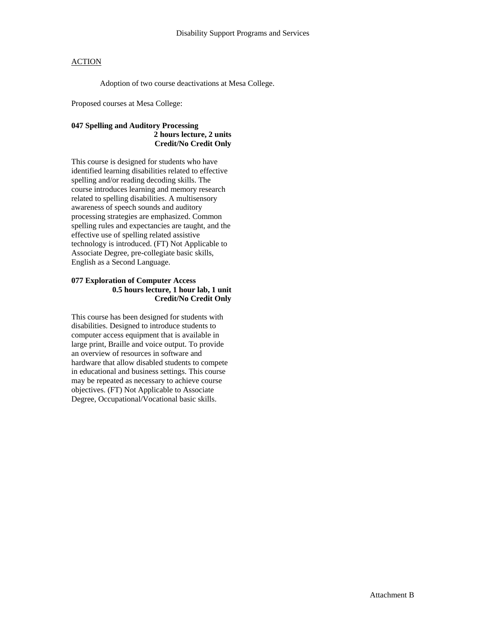Adoption of two course deactivations at Mesa College.

Proposed courses at Mesa College:

## **047 Spelling and Auditory Processing 2 hours lecture, 2 units Credit/No Credit Only**

This course is designed for students who have identified learning disabilities related to effective spelling and/or reading decoding skills. The course introduces learning and memory research related to spelling disabilities. A multisensory awareness of speech sounds and auditory processing strategies are emphasized. Common spelling rules and expectancies are taught, and the effective use of spelling related assistive technology is introduced. (FT) Not Applicable to Associate Degree, pre-collegiate basic skills, English as a Second Language.

### **077 Exploration of Computer Access 0.5 hours lecture, 1 hour lab, 1 unit Credit/No Credit Only**

This course has been designed for students with disabilities. Designed to introduce students to computer access equipment that is available in large print, Braille and voice output. To provide an overview of resources in software and hardware that allow disabled students to compete in educational and business settings. This course may be repeated as necessary to achieve course objectives. (FT) Not Applicable to Associate Degree, Occupational/Vocational basic skills.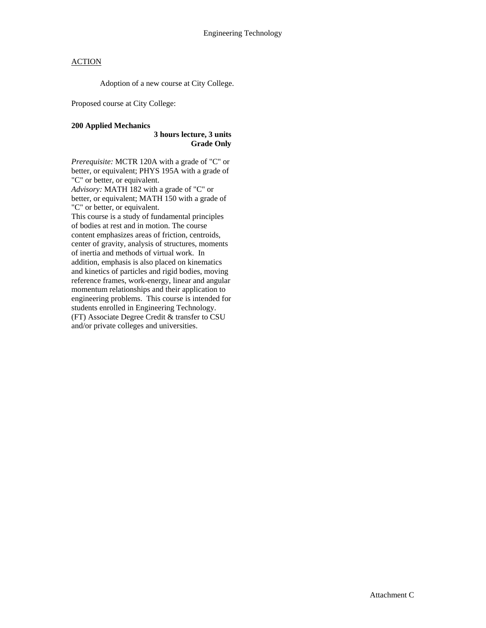Adoption of a new course at City College.

Proposed course at City College:

#### **200 Applied Mechanics**

#### **3 hours lecture, 3 units Grade Only**

*Prerequisite:* MCTR 120A with a grade of "C" or better, or equivalent; PHYS 195A with a grade of "C" or better, or equivalent. *Advisory:* MATH 182 with a grade of "C" or better, or equivalent; MATH 150 with a grade of "C" or better, or equivalent. This course is a study of fundamental principles of bodies at rest and in motion. The course content emphasizes areas of friction, centroids, center of gravity, analysis of structures, moments of inertia and methods of virtual work. In addition, emphasis is also placed on kinematics and kinetics of particles and rigid bodies, moving reference frames, work-energy, linear and angular momentum relationships and their application to engineering problems. This course is intended for students enrolled in Engineering Technology. (FT) Associate Degree Credit & transfer to CSU and/or private colleges and universities.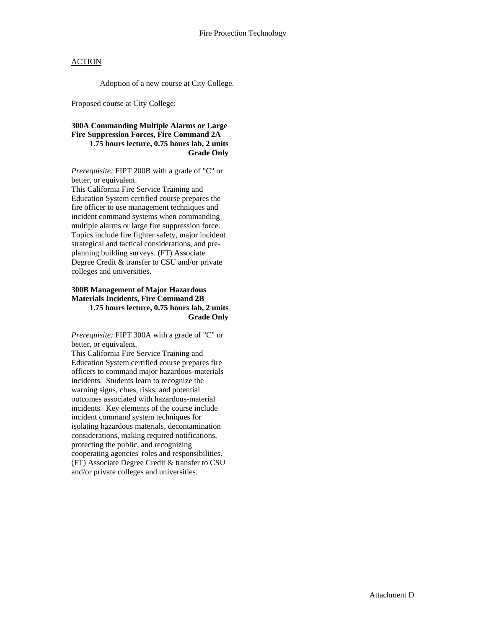Adoption of a new course at City College.

Proposed course at City College:

#### **300A Commanding Multiple Alarms or Large Fire Suppression Forces, Fire Command 2A 1.75 hours lecture, 0.75 hours lab, 2 units Grade Only**

*Prerequisite:* FIPT 200B with a grade of "C" or better, or equivalent.

This California Fire Service Training and Education System certified course prepares the fire officer to use management techniques and incident command systems when commanding multiple alarms or large fire suppression force. Topics include fire fighter safety, major incident strategical and tactical considerations, and preplanning building surveys. (FT) Associate Degree Credit & transfer to CSU and/or private colleges and universities.

#### **300B Management of Major Hazardous Materials Incidents, Fire Command 2B 1.75 hours lecture, 0.75 hours lab, 2 units Grade Only**

*Prerequisite:* FIPT 300A with a grade of "C" or better, or equivalent.

This California Fire Service Training and Education System certified course prepares fire officers to command major hazardous-materials incidents. Students learn to recognize the warning signs, clues, risks, and potential outcomes associated with hazardous-material incidents. Key elements of the course include incident command system techniques for isolating hazardous materials, decontamination considerations, making required notifications, protecting the public, and recognizing cooperating agencies' roles and responsibilities. (FT) Associate Degree Credit & transfer to CSU and/or private colleges and universities.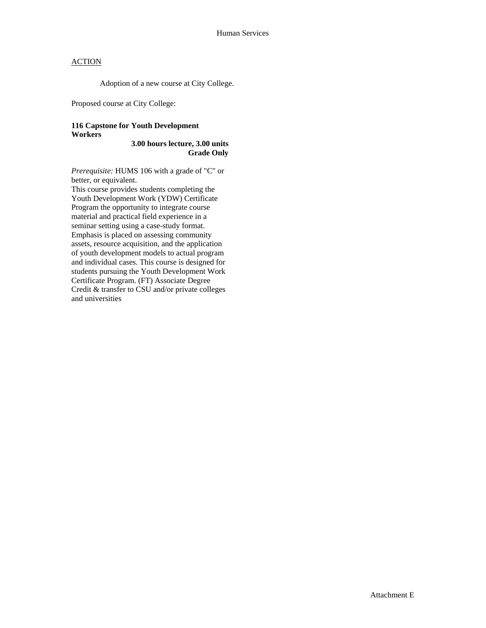Adoption of a new course at City College.

Proposed course at City College:

### **116 Capstone for Youth Development Workers**

 **3.00 hours lecture, 3.00 units Grade Only** 

*Prerequisite:* HUMS 106 with a grade of "C" or better, or equivalent.

This course provides students completing the Youth Development Work (YDW) Certificate Program the opportunity to integrate course material and practical field experience in a seminar setting using a case-study format. Emphasis is placed on assessing community assets, resource acquisition, and the application of youth development models to actual program and individual cases. This course is designed for students pursuing the Youth Development Work Certificate Program. (FT) Associate Degree Credit & transfer to CSU and/or private colleges and universities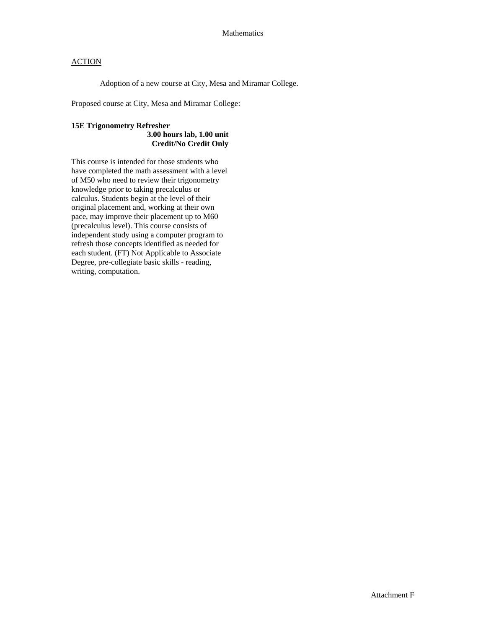Adoption of a new course at City, Mesa and Miramar College.

Proposed course at City, Mesa and Miramar College:

### **15E Trigonometry Refresher 3.00 hours lab, 1.00 unit Credit/No Credit Only**

This course is intended for those students who have completed the math assessment with a level of M50 who need to review their trigonometry knowledge prior to taking precalculus or calculus. Students begin at the level of their original placement and, working at their own pace, may improve their placement up to M60 (precalculus level). This course consists of independent study using a computer program to refresh those concepts identified as needed for each student. (FT) Not Applicable to Associate Degree, pre-collegiate basic skills - reading, writing, computation.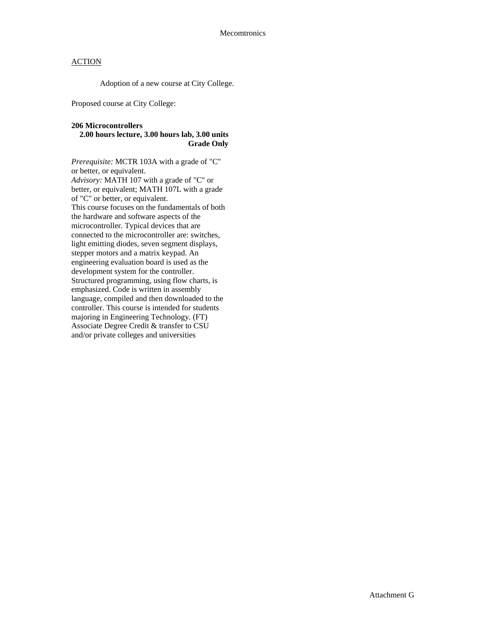Adoption of a new course at City College.

Proposed course at City College:

#### **206 Microcontrollers**

#### **2.00 hours lecture, 3.00 hours lab, 3.00 units Grade Only**

*Prerequisite:* MCTR 103A with a grade of "C" or better, or equivalent. *Advisory:* MATH 107 with a grade of "C" or better, or equivalent; MATH 107L with a grade of "C" or better, or equivalent. This course focuses on the fundamentals of both the hardware and software aspects of the microcontroller. Typical devices that are connected to the microcontroller are: switches, light emitting diodes, seven segment displays, stepper motors and a matrix keypad. An engineering evaluation board is used as the development system for the controller. Structured programming, using flow charts, is emphasized. Code is written in assembly language, compiled and then downloaded to the controller. This course is intended for students majoring in Engineering Technology. (FT) Associate Degree Credit & transfer to CSU and/or private colleges and universities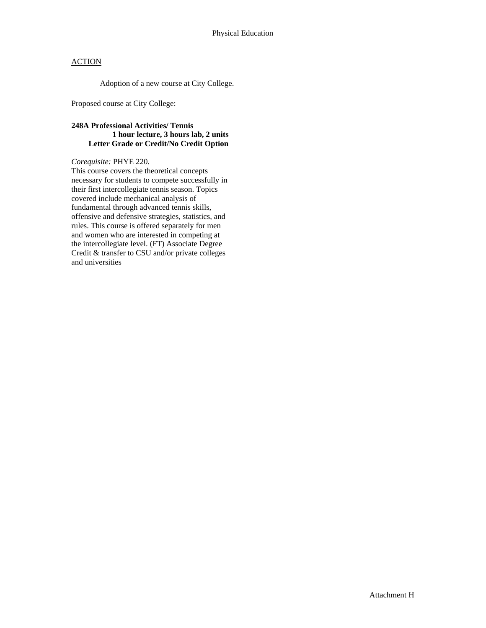Adoption of a new course at City College.

Proposed course at City College:

### **248A Professional Activities/ Tennis 1 hour lecture, 3 hours lab, 2 units Letter Grade or Credit/No Credit Option**

#### *Corequisite:* PHYE 220.

This course covers the theoretical concepts necessary for students to compete successfully in their first intercollegiate tennis season. Topics covered include mechanical analysis of fundamental through advanced tennis skills, offensive and defensive strategies, statistics, and rules. This course is offered separately for men and women who are interested in competing at the intercollegiate level. (FT) Associate Degree Credit & transfer to CSU and/or private colleges and universities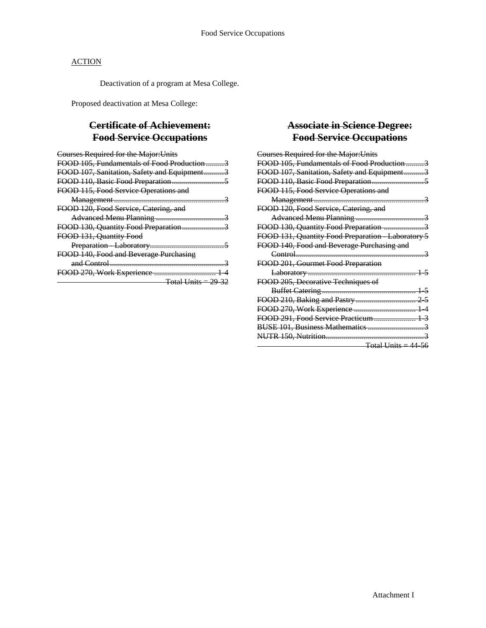Deactivation of a program at Mesa College.

Proposed deactivation at Mesa College:

# **Certificate of Achievement: Food Service Occupations**

| <b>Courses Required for the Major: Units</b> |
|----------------------------------------------|
| FOOD 105. Fundamentals of Food Production3   |
| FOOD 107, Sanitation, Safety and Equipment3  |
|                                              |
| FOOD 115, Food Service Operations and        |
|                                              |
| FOOD 120, Food Service, Catering, and        |
|                                              |
| FOOD 130, Quantity Food Preparation3         |
| FOOD 131, Quantity Food                      |
|                                              |
| FOOD 140, Food and Beverage Purchasing       |
|                                              |
|                                              |
| $Total Units = 29.32$                        |
|                                              |

# **Associate in Science Degree: Food Service Occupations**

| FOOD 105, Fundamentals of Food Production3<br>FOOD 107, Sanitation, Safety and Equipment3<br>FOOD 115, Food Service Operations and<br>FOOD 120, Food Service, Catering, and<br>FOOD 130, Quantity Food Preparation 3<br>FOOD 131, Quantity Food Preparation Laboratory 5<br>FOOD 140, Food and Beverage Purchasing and<br>FOOD 201, Gourmet Food Preparation<br>FOOD 205, Decorative Techniques of<br>FOOD 270, Work Experience  1 4<br>FOOD 291, Food Service Practicum 13<br>BUSE 101, Business Mathematics 3 |
|-----------------------------------------------------------------------------------------------------------------------------------------------------------------------------------------------------------------------------------------------------------------------------------------------------------------------------------------------------------------------------------------------------------------------------------------------------------------------------------------------------------------|
|                                                                                                                                                                                                                                                                                                                                                                                                                                                                                                                 |
|                                                                                                                                                                                                                                                                                                                                                                                                                                                                                                                 |
|                                                                                                                                                                                                                                                                                                                                                                                                                                                                                                                 |
|                                                                                                                                                                                                                                                                                                                                                                                                                                                                                                                 |
|                                                                                                                                                                                                                                                                                                                                                                                                                                                                                                                 |
|                                                                                                                                                                                                                                                                                                                                                                                                                                                                                                                 |
|                                                                                                                                                                                                                                                                                                                                                                                                                                                                                                                 |
|                                                                                                                                                                                                                                                                                                                                                                                                                                                                                                                 |
|                                                                                                                                                                                                                                                                                                                                                                                                                                                                                                                 |
|                                                                                                                                                                                                                                                                                                                                                                                                                                                                                                                 |
|                                                                                                                                                                                                                                                                                                                                                                                                                                                                                                                 |
|                                                                                                                                                                                                                                                                                                                                                                                                                                                                                                                 |
|                                                                                                                                                                                                                                                                                                                                                                                                                                                                                                                 |
|                                                                                                                                                                                                                                                                                                                                                                                                                                                                                                                 |
|                                                                                                                                                                                                                                                                                                                                                                                                                                                                                                                 |
|                                                                                                                                                                                                                                                                                                                                                                                                                                                                                                                 |
|                                                                                                                                                                                                                                                                                                                                                                                                                                                                                                                 |
|                                                                                                                                                                                                                                                                                                                                                                                                                                                                                                                 |
|                                                                                                                                                                                                                                                                                                                                                                                                                                                                                                                 |
|                                                                                                                                                                                                                                                                                                                                                                                                                                                                                                                 |
| $Total Units = 44.56$                                                                                                                                                                                                                                                                                                                                                                                                                                                                                           |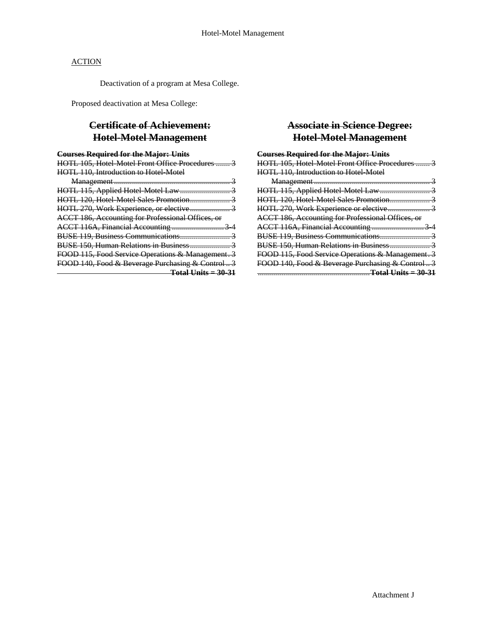Deactivation of a program at Mesa College.

Proposed deactivation at Mesa College:

# **Certificate of Achievement: Hotel-Motel Management**

### **Courses Required for the Major: Units**

| HOTL 105, Hotel-Motel Front Office Procedures  3         |  |
|----------------------------------------------------------|--|
| HOTL 110, Introduction to Hotel Motel                    |  |
|                                                          |  |
|                                                          |  |
|                                                          |  |
|                                                          |  |
| <b>ACCT 186, Accounting for Professional Offices, or</b> |  |
|                                                          |  |
|                                                          |  |
|                                                          |  |
| FOOD 115, Food Service Operations & Management. 3        |  |
| FOOD 140, Food & Beverage Purchasing & Control3          |  |
| $Total Units = 30-31$                                    |  |
|                                                          |  |

# **Associate in Science Degree: Hotel-Motel Management**

| <b>Courses Required for the Major: Units</b>      |
|---------------------------------------------------|
| HOTL 105, Hotel-Motel Front Office Procedures  3  |
| <b>HOTL 110. Introduction to Hotel Motel</b>      |
|                                                   |
|                                                   |
|                                                   |
|                                                   |
| ACCT 186, Accounting for Professional Offices, or |
|                                                   |
|                                                   |
|                                                   |
| FOOD 115, Food Service Operations & Management. 3 |
| FOOD 140, Food & Beverage Purchasing & Control3   |
|                                                   |